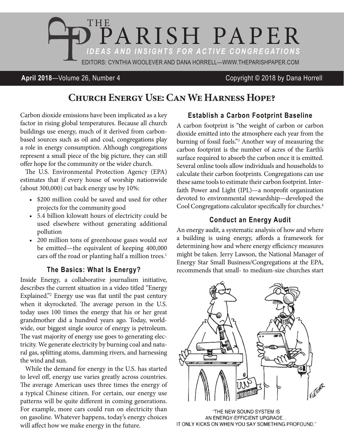

## **April 2018**—Volume 26, Number 4 Copyright © 2018 by Dana Horrell

# **Church Energy Use: Can We Harness Hope?**

Carbon dioxide emissions have been implicated as a key factor in rising global temperatures. Because all church buildings use energy, much of it derived from carbonbased sources such as oil and coal, congregations play a role in energy consumption. Although congregations represent a small piece of the big picture, they can still offer hope for the community or the wider church.

The U.S. Environmental Protection Agency (EPA) estimates that if every house of worship nationwide (about 300,000) cut back energy use by 10%:

- \$200 million could be saved and used for other projects for the community good
- • 5.4 billion kilowatt hours of electricity could be used elsewhere without generating additional pollution
- • 200 million tons of greenhouse gases would *not* be emitted—the equivalent of keeping 400,000 cars off the road or planting half a million trees.<sup>1</sup>

#### **The Basics: What Is Energy?**

Inside Energy, a collaborative journalism initiative, describes the current situation in a video titled "Energy Explained."2 Energy use was flat until the past century when it skyrocketed. The average person in the U.S. today uses 100 times the energy that his or her great grandmother did a hundred years ago. Today, worldwide, our biggest single source of energy is petroleum. The vast majority of energy use goes to generating electricity. We generate electricity by burning coal and natural gas, splitting atoms, damming rivers, and harnessing the wind and sun.

While the demand for energy in the U.S. has started to level off, energy use varies greatly across countries. The average American uses three times the energy of a typical Chinese citizen. For certain, our energy use patterns will be quite different in coming generations. For example, more cars could run on electricity than on gasoline. Whatever happens, today's energy choices will affect how we make energy in the future.

### **Establish a Carbon Footprint Baseline**

A carbon footprint is "the weight of carbon or carbon dioxide emitted into the atmosphere each year from the burning of fossil fuels."3 Another way of measuring the carbon footprint is the number of acres of the Earth's surface required to absorb the carbon once it is emitted. Several online tools allow individuals and households to calculate their carbon footprints. Congregations can use these same tools to estimate their carbon footprint. Interfaith Power and Light (IPL)—a nonprofit organization devoted to environmental stewardship—developed the Cool Congregations calculator specifically for churches.<sup>4</sup>

### **Conduct an Energy Audit**

An energy audit, a systematic analysis of how and where a building is using energy, affords a framework for determining how and where energy efficiency measures might be taken. Jerry Lawson, the National Manager of Energy Star Small Business/Congregations at the EPA, recommends that small- to medium-size churches start



"THE NEW SOUND SYSTEM IS AN ENERGY-EFFICIENT UPGRADE... IT ONLY KICKS ON WHEN YOU SAY SOMETHING PROFOUND."